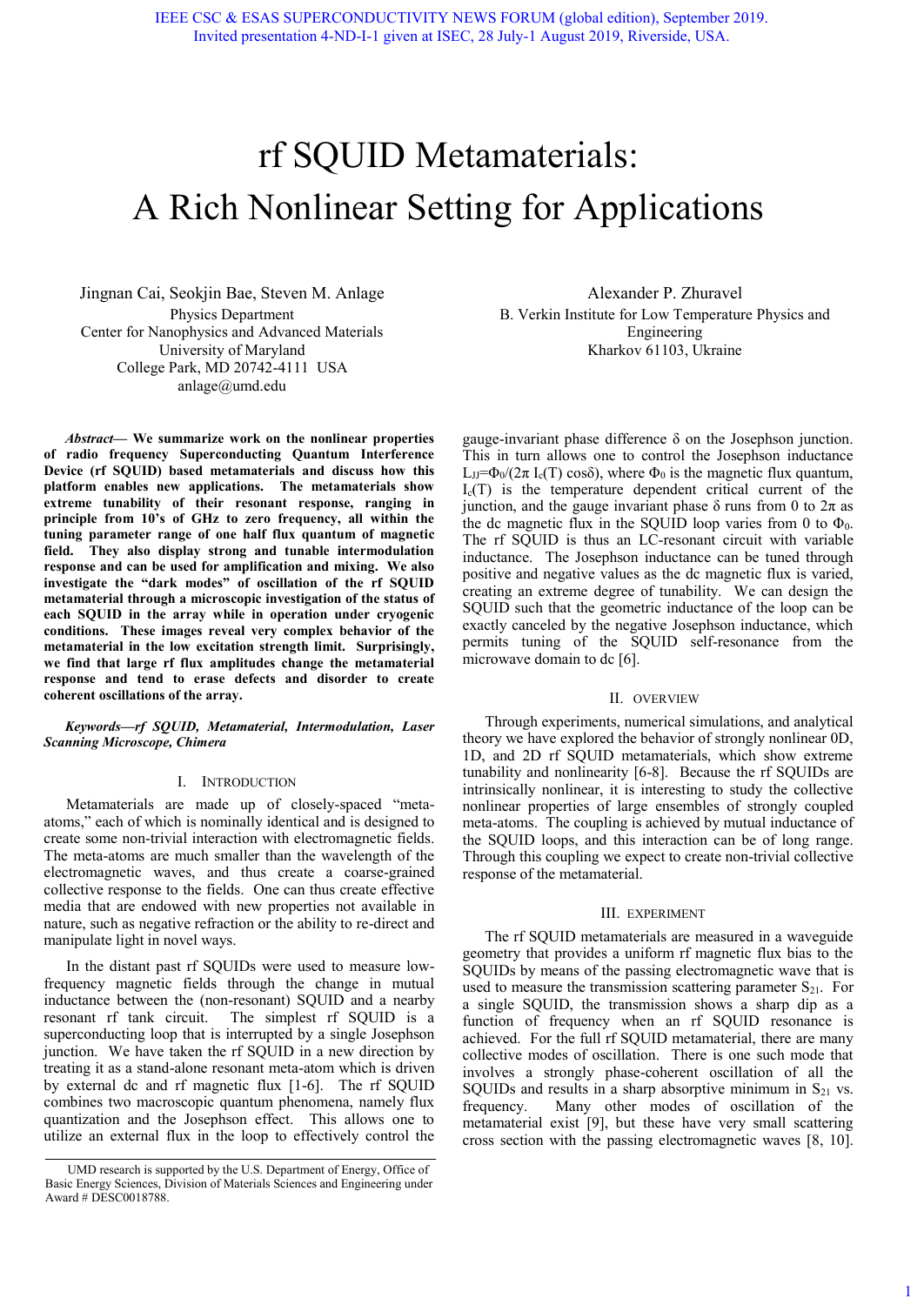# rf SQUID Metamaterials: A Rich Nonlinear Setting for Applications

Jingnan Cai, Seokjin Bae, Steven M. Anlage Physics Department Center for Nanophysics and Advanced Materials University of Maryland College Park, MD 20742-4111 USA anlage@umd.edu

*Abstract***— We summarize work on the nonlinear properties of radio frequency Superconducting Quantum Interference Device (rf SQUID) based metamaterials and discuss how this platform enables new applications. The metamaterials show extreme tunability of their resonant response, ranging in principle from 10's of GHz to zero frequency, all within the tuning parameter range of one half flux quantum of magnetic field. They also display strong and tunable intermodulation response and can be used for amplification and mixing. We also investigate the "dark modes" of oscillation of the rf SQUID metamaterial through a microscopic investigation of the status of each SQUID in the array while in operation under cryogenic conditions. These images reveal very complex behavior of the metamaterial in the low excitation strength limit. Surprisingly, we find that large rf flux amplitudes change the metamaterial response and tend to erase defects and disorder to create coherent oscillations of the array.** 

### *Keywords—rf SQUID, Metamaterial, Intermodulation, Laser Scanning Microscope, Chimera*

#### I. INTRODUCTION

Metamaterials are made up of closely-spaced "metaatoms," each of which is nominally identical and is designed to create some non-trivial interaction with electromagnetic fields. The meta-atoms are much smaller than the wavelength of the electromagnetic waves, and thus create a coarse-grained collective response to the fields. One can thus create effective media that are endowed with new properties not available in nature, such as negative refraction or the ability to re-direct and manipulate light in novel ways.

In the distant past rf SQUIDs were used to measure lowfrequency magnetic fields through the change in mutual inductance between the (non-resonant) SQUID and a nearby resonant rf tank circuit. The simplest rf SQUID is a superconducting loop that is interrupted by a single Josephson junction. We have taken the rf SQUID in a new direction by treating it as a stand-alone resonant meta-atom which is driven by external dc and rf magnetic flux [1-6]. The rf SQUID combines two macroscopic quantum phenomena, namely flux quantization and the Josephson effect. This allows one to utilize an external flux in the loop to effectively control the

Alexander P. Zhuravel B. Verkin Institute for Low Temperature Physics and Engineering Kharkov 61103, Ukraine

gauge-invariant phase difference δ on the Josephson junction. This in turn allows one to control the Josephson inductance L<sub>JJ</sub>=Φ<sub>0</sub>/(2π I<sub>c</sub>(T) cosδ), where Φ<sub>0</sub> is the magnetic flux quantum,  $I_c(T)$  is the temperature dependent critical current of the junction, and the gauge invariant phase  $\delta$  runs from 0 to  $2\pi$  as the dc magnetic flux in the SQUID loop varies from 0 to  $\Phi_0$ . The rf SQUID is thus an LC-resonant circuit with variable inductance. The Josephson inductance can be tuned through positive and negative values as the dc magnetic flux is varied, creating an extreme degree of tunability. We can design the SQUID such that the geometric inductance of the loop can be exactly canceled by the negative Josephson inductance, which permits tuning of the SQUID self-resonance from the microwave domain to dc [6].

#### II. OVERVIEW

Through experiments, numerical simulations, and analytical theory we have explored the behavior of strongly nonlinear 0D, 1D, and 2D rf SQUID metamaterials, which show extreme tunability and nonlinearity [6-8]. Because the rf SQUIDs are intrinsically nonlinear, it is interesting to study the collective nonlinear properties of large ensembles of strongly coupled meta-atoms. The coupling is achieved by mutual inductance of the SQUID loops, and this interaction can be of long range. Through this coupling we expect to create non-trivial collective response of the metamaterial.

#### III. EXPERIMENT

The rf SQUID metamaterials are measured in a waveguide geometry that provides a uniform rf magnetic flux bias to the SQUIDs by means of the passing electromagnetic wave that is used to measure the transmission scattering parameter  $S_{21}$ . For a single SQUID, the transmission shows a sharp dip as a function of frequency when an rf SQUID resonance is achieved. For the full rf SQUID metamaterial, there are many collective modes of oscillation. There is one such mode that involves a strongly phase-coherent oscillation of all the SQUIDs and results in a sharp absorptive minimum in  $S_{21}$  vs. frequency. Many other modes of oscillation of the metamaterial exist [9], but these have very small scattering cross section with the passing electromagnetic waves [8, 10].

UMD research is supported by the U.S. Department of Energy, Office of Basic Energy Sciences, Division of Materials Sciences and Engineering under Award # DESC0018788.